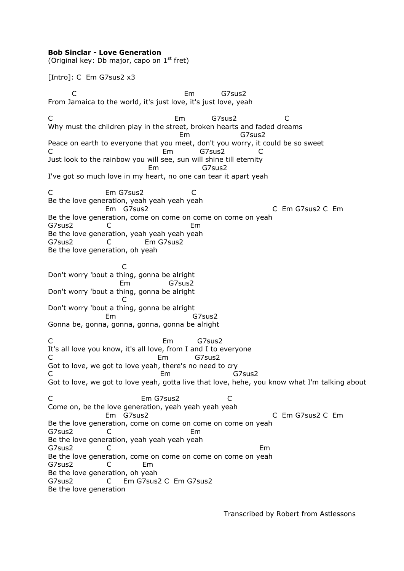## **Bob Sinclar - Love Generation**

(Original key: Db major, capo on  $1<sup>st</sup>$  fret)

[Intro]: C Em G7sus2 x3

 C Em G7sus2 From Jamaica to the world, it's just love, it's just love, yeah C Em G7sus2 C Why must the children play in the street, broken hearts and faded dreams Em G7sus2 Peace on earth to everyone that you meet, don't you worry, it could be so sweet C Em G7sus2 C Just look to the rainbow you will see, sun will shine till eternity Em G7sus2 I've got so much love in my heart, no one can tear it apart yeah C Em G7sus2 C Be the love generation, yeah yeah yeah yeah Em G7sus2 C Em G7sus2 C Em Be the love generation, come on come on come on come on yeah G7sus2 C Em Be the love generation, yeah yeah yeah yeah G7sus2 C Em G7sus2 Be the love generation, oh yeah **C** and the contract of the contract of the contract of the contract of the contract of the contract of the contract of the contract of the contract of the contract of the contract of the contract of the contract of the co Don't worry 'bout a thing, gonna be alright Em G7sus2 Don't worry 'bout a thing, gonna be alright **C** and the contract of the contract of the contract of the contract of the contract of the contract of the contract of the contract of the contract of the contract of the contract of the contract of the contract of the co Don't worry 'bout a thing, gonna be alright Em G7sus2 Gonna be, gonna, gonna, gonna, gonna be alright C Em G7sus2 It's all love you know, it's all love, from I and I to everyone C Em G7sus2 Got to love, we got to love yeah, there's no need to cry C Em G7sus2 Got to love, we got to love yeah, gotta live that love, hehe, you know what I'm talking about C Em G7sus2 C Come on, be the love generation, yeah yeah yeah yeah Em G7sus2 C Em G7sus2 C Em Be the love generation, come on come on come on come on yeah G7sus2 C Em Be the love generation, yeah yeah yeah yeah G7sus2 C Em Be the love generation, come on come on come on come on yeah G7sus2 C Em Be the love generation, oh yeah G7sus2 C Em G7sus2 C Em G7sus2 Be the love generation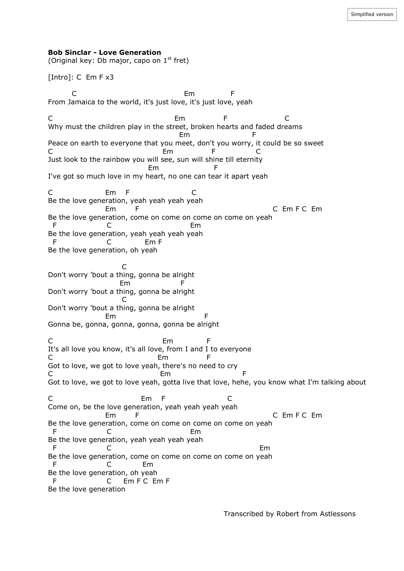## **Bob Sinclar - Love Generation**

(Original key: Db major, capo on  $1<sup>st</sup>$  fret)

[Intro]: C Em F x3

 C Em F From Jamaica to the world, it's just love, it's just love, yeah C Em F C Why must the children play in the street, broken hearts and faded dreams em and the state of the Emily Constants of the Emily Constants of the Emily Constants of the Emily Constants of Peace on earth to everyone that you meet, don't you worry, it could be so sweet C Em F C Just look to the rainbow you will see, sun will shine till eternity em and the Emily of Emily and F I've got so much love in my heart, no one can tear it apart yeah C Em F C Be the love generation, yeah yeah yeah yeah Em F C Em F C Em F C Em Be the love generation, come on come on come on come on yeah F C Em Be the love generation, yeah yeah yeah yeah F C Em F Be the love generation, oh yeah **C** and the contract of the contract of the contract of the contract of the contract of the contract of the contract of the contract of the contract of the contract of the contract of the contract of the contract of the co Don't worry 'bout a thing, gonna be alright Em F Don't worry 'bout a thing, gonna be alright **C** and the contract of the contract of the contract of the contract of the contract of the contract of the contract of the contract of the contract of the contract of the contract of the contract of the contract of the co Don't worry 'bout a thing, gonna be alright Em F Gonna be, gonna, gonna, gonna, gonna be alright C Em F It's all love you know, it's all love, from I and I to everyone C<sub>D</sub> Em F Got to love, we got to love yeah, there's no need to cry C **Em** F Got to love, we got to love yeah, gotta live that love, hehe, you know what I'm talking about C Em F C Come on, be the love generation, yeah yeah yeah yeah Em F C Em F C Em F C Em Be the love generation, come on come on come on come on yeah F C Em Be the love generation, yeah yeah yeah yeah F C Em Be the love generation, come on come on come on come on yeah F C Em Be the love generation, oh yeah F C Em F C Em F Be the love generation

Transcribed by Robert from Astlessons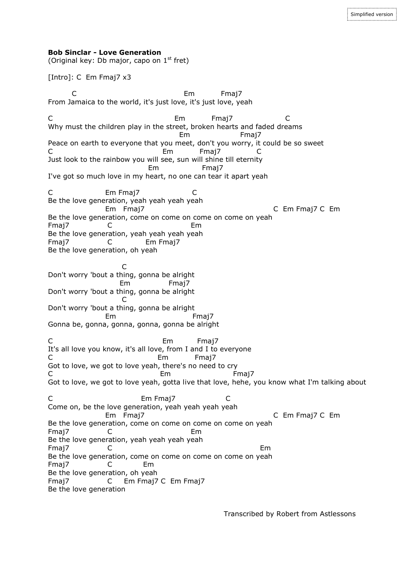(Original key: Db major, capo on  $1<sup>st</sup>$  fret)

[Intro]: C Em Fmaj7 x3

 C Em Fmaj7 From Jamaica to the world, it's just love, it's just love, yeah C Em Fmaj7 C Why must the children play in the street, broken hearts and faded dreams Em Fmaj7 Peace on earth to everyone that you meet, don't you worry, it could be so sweet C Em Fmaj7 C Just look to the rainbow you will see, sun will shine till eternity Em Fmaj7 I've got so much love in my heart, no one can tear it apart yeah C Em Fmaj7 C Be the love generation, yeah yeah yeah yeah Em Fmaj7 C Em Fmaj7 C Em Be the love generation, come on come on come on come on yeah Fmaj7 C Em Be the love generation, yeah yeah yeah yeah Fmaj7 C Em Fmaj7 Be the love generation, oh yeah **C** and the contract of the contract of the contract of the contract of the contract of the contract of the contract of the contract of the contract of the contract of the contract of the contract of the contract of the co Don't worry 'bout a thing, gonna be alright Em Fmaj7 Don't worry 'bout a thing, gonna be alright **C** and the contract of the contract of the contract of the contract of the contract of the contract of the contract of the contract of the contract of the contract of the contract of the contract of the contract of the co Don't worry 'bout a thing, gonna be alright Em Fmaj7 Gonna be, gonna, gonna, gonna, gonna be alright C Em Fmai7 It's all love you know, it's all love, from I and I to everyone C Em Fmaj7 Got to love, we got to love yeah, there's no need to cry C Em Fmaj7 Got to love, we got to love yeah, gotta live that love, hehe, you know what I'm talking about C Em Fmaj7 C Come on, be the love generation, yeah yeah yeah yeah Em Fmaj7 C Em Fmaj7 C Em Be the love generation, come on come on come on come on yeah Fmaj7 C Em Be the love generation, yeah yeah yeah yeah Fmaj7 C Em Be the love generation, come on come on come on come on yeah Fmaj7 C Em Be the love generation, oh yeah Fmaj7 C Em Fmaj7 C Em Fmaj7 Be the love generation

Simplified version

Transcribed by Robert from Astlessons